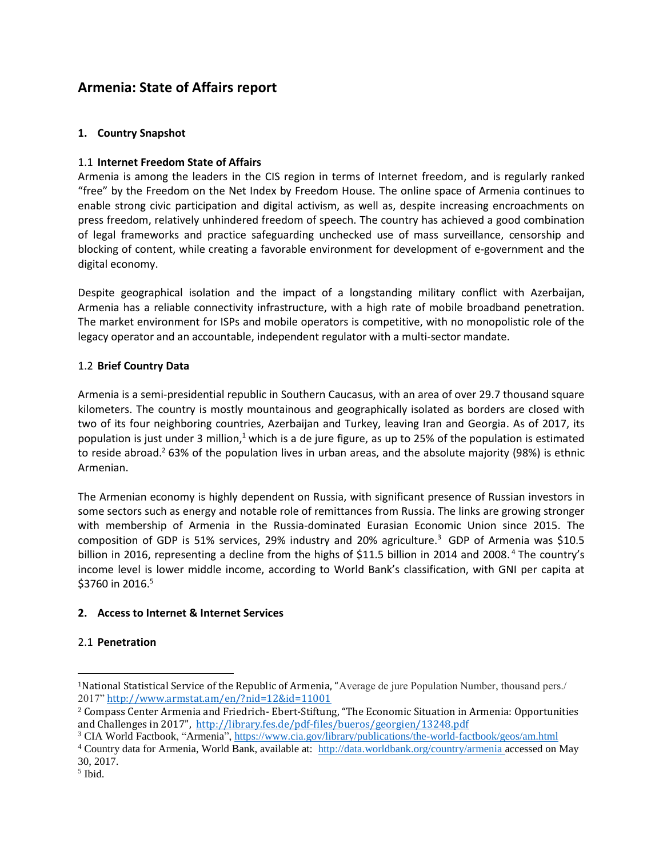# **Armenia: State of Affairs report**

## **1. Country Snapshot**

## 1.1 **Internet Freedom State of Affairs**

Armenia is among the leaders in the CIS region in terms of Internet freedom, and is regularly ranked "free" by the Freedom on the Net Index by Freedom House. The online space of Armenia continues to enable strong civic participation and digital activism, as well as, despite increasing encroachments on press freedom, relatively unhindered freedom of speech. The country has achieved a good combination of legal frameworks and practice safeguarding unchecked use of mass surveillance, censorship and blocking of content, while creating a favorable environment for development of e-government and the digital economy.

Despite geographical isolation and the impact of a longstanding military conflict with Azerbaijan, Armenia has a reliable connectivity infrastructure, with a high rate of mobile broadband penetration. The market environment for ISPs and mobile operators is competitive, with no monopolistic role of the legacy operator and an accountable, independent regulator with a multi-sector mandate.

## 1.2 **Brief Country Data**

Armenia is a semi-presidential republic in Southern Caucasus, with an area of over 29.7 thousand square kilometers. The country is mostly mountainous and geographically isolated as borders are closed with two of its four neighboring countries, Azerbaijan and Turkey, leaving Iran and Georgia. As of 2017, its population is just under 3 million,<sup>1</sup> which is a de jure figure, as up to 25% of the population is estimated to reside abroad.<sup>2</sup> 63% of the population lives in urban areas, and the absolute majority (98%) is ethnic Armenian.

The Armenian economy is highly dependent on Russia, with significant presence of Russian investors in some sectors such as energy and notable role of remittances from Russia. The links are growing stronger with membership of Armenia in the Russia-dominated Eurasian Economic Union since 2015. The composition of GDP is 51% services, 29% industry and 20% agriculture.<sup>3</sup> GDP of Armenia was \$10.5 billion in 2016, representing a decline from the highs of \$11.5 billion in 2014 and 2008.<sup>4</sup> The country's income level is lower middle income, according to World Bank's classification, with GNI per capita at  $$3760$  in 2016.<sup>5</sup>

# **2. Access to Internet & Internet Services**

#### 2.1 **Penetration**

 $\overline{a}$ 

<sup>1</sup>National Statistical Service of the Republic of Armenia, "Average de jure Population Number, thousand pers./ 2017" <http://www.armstat.am/en/?nid=12&id=11001>

<sup>2</sup> Compass Center Armenia and Friedrich- Ebert-Stiftung, "The Economic Situation in Armenia: Opportunities and Challenges in 2017", <http://library.fes.de/pdf-files/bueros/georgien/13248.pdf>

<sup>&</sup>lt;sup>3</sup> CIA World Factbook, "Armenia"[, https://www.cia.gov/library/publications/the-world-factbook/geos/am.html](https://www.cia.gov/library/publications/the-world-factbook/geos/am.html)

<sup>4</sup> Country data for Armenia, World Bank, available at: http://data.worldbank.org/country/armenia accessed on May 30, 2017.

<sup>5</sup> Ibid.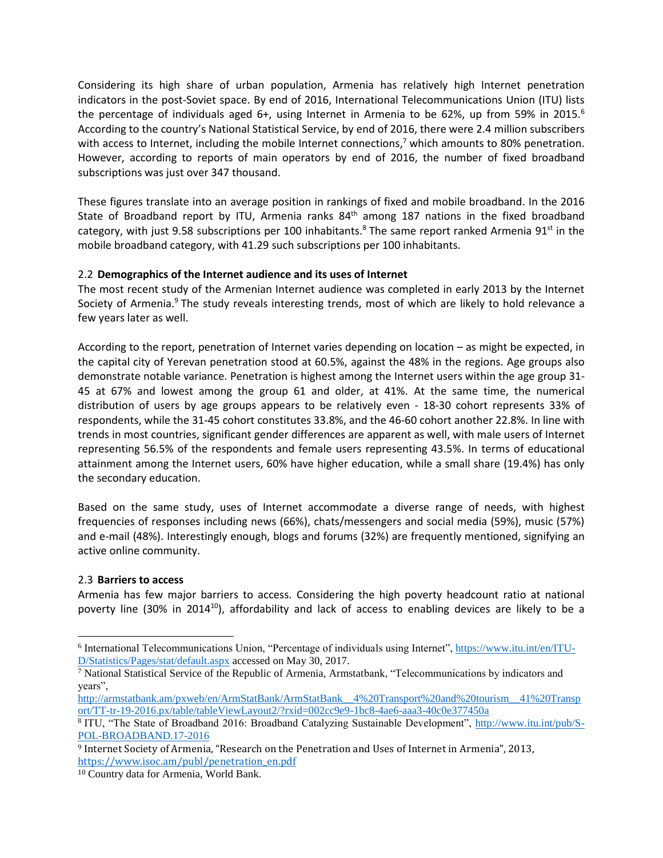Considering its high share of urban population, Armenia has relatively high Internet penetration indicators in the post-Soviet space. By end of 2016, International Telecommunications Union (ITU) lists the percentage of individuals aged 6+, using Internet in Armenia to be 62%, up from 59% in 2015.<sup>6</sup> According to the country's National Statistical Service, by end of 2016, there were 2.4 million subscribers with access to Internet, including the mobile Internet connections,<sup>7</sup> which amounts to 80% penetration. However, according to reports of main operators by end of 2016, the number of fixed broadband subscriptions was just over 347 thousand.

These figures translate into an average position in rankings of fixed and mobile broadband. In the 2016 State of Broadband report by ITU, Armenia ranks  $84<sup>th</sup>$  among 187 nations in the fixed broadband category, with just 9.58 subscriptions per 100 inhabitants.<sup>8</sup> The same report ranked Armenia 91<sup>st</sup> in the mobile broadband category, with 41.29 such subscriptions per 100 inhabitants.

## 2.2 **Demographics of the Internet audience and its uses of Internet**

The most recent study of the Armenian Internet audience was completed in early 2013 by the Internet Society of Armenia.<sup>9</sup> The study reveals interesting trends, most of which are likely to hold relevance a few years later as well.

According to the report, penetration of Internet varies depending on location – as might be expected, in the capital city of Yerevan penetration stood at 60.5%, against the 48% in the regions. Age groups also demonstrate notable variance. Penetration is highest among the Internet users within the age group 31- 45 at 67% and lowest among the group 61 and older, at 41%. At the same time, the numerical distribution of users by age groups appears to be relatively even - 18-30 cohort represents 33% of respondents, while the 31-45 cohort constitutes 33.8%, and the 46-60 cohort another 22.8%. In line with trends in most countries, significant gender differences are apparent as well, with male users of Internet representing 56.5% of the respondents and female users representing 43.5%. In terms of educational attainment among the Internet users, 60% have higher education, while a small share (19.4%) has only the secondary education.

Based on the same study, uses of Internet accommodate a diverse range of needs, with highest frequencies of responses including news (66%), chats/messengers and social media (59%), music (57%) and e-mail (48%). Interestingly enough, blogs and forums (32%) are frequently mentioned, signifying an active online community.

#### 2.3 **Barriers to access**

 $\overline{a}$ 

Armenia has few major barriers to access. Considering the high poverty headcount ratio at national poverty line (30% in 2014<sup>10</sup>), affordability and lack of access to enabling devices are likely to be a

<sup>&</sup>lt;sup>6</sup> International Telecommunications Union, "Percentage of individuals using Internet", [https://www.itu.int/en/ITU-](https://www.itu.int/en/ITU-D/Statistics/Pages/stat/default.aspx)[D/Statistics/Pages/stat/default.aspx](https://www.itu.int/en/ITU-D/Statistics/Pages/stat/default.aspx) accessed on May 30, 2017.

<sup>7</sup> National Statistical Service of the Republic of Armenia, Armstatbank, "Telecommunications by indicators and years",

[http://armstatbank.am/pxweb/en/ArmStatBank/ArmStatBank\\_\\_4%20Transport%20and%20tourism\\_\\_41%20Transp](http://armstatbank.am/pxweb/en/ArmStatBank/ArmStatBank__4%20Transport%20and%20tourism__41%20Transport/TT-tr-19-2016.px/table/tableViewLayout2/?rxid=002cc9e9-1bc8-4ae6-aaa3-40c0e377450a) [ort/TT-tr-19-2016.px/table/tableViewLayout2/?rxid=002cc9e9-1bc8-4ae6-aaa3-40c0e377450a](http://armstatbank.am/pxweb/en/ArmStatBank/ArmStatBank__4%20Transport%20and%20tourism__41%20Transport/TT-tr-19-2016.px/table/tableViewLayout2/?rxid=002cc9e9-1bc8-4ae6-aaa3-40c0e377450a)

<sup>&</sup>lt;sup>8</sup> ITU, "The State of Broadband 2016: Broadband Catalyzing Sustainable Development", [http://www.itu.int/pub/S-](http://www.itu.int/pub/S-POL-BROADBAND.17-2016)[POL-BROADBAND.17-2016](http://www.itu.int/pub/S-POL-BROADBAND.17-2016) 

<sup>9</sup> Internet Society of Armenia, "Research on the Penetration and Uses of Internet in Armenia", 2013, [https://www.isoc.am/publ/penetration\\_en.pdf](https://www.isoc.am/publ/penetration_en.pdf) 

<sup>10</sup> Country data for Armenia, World Bank.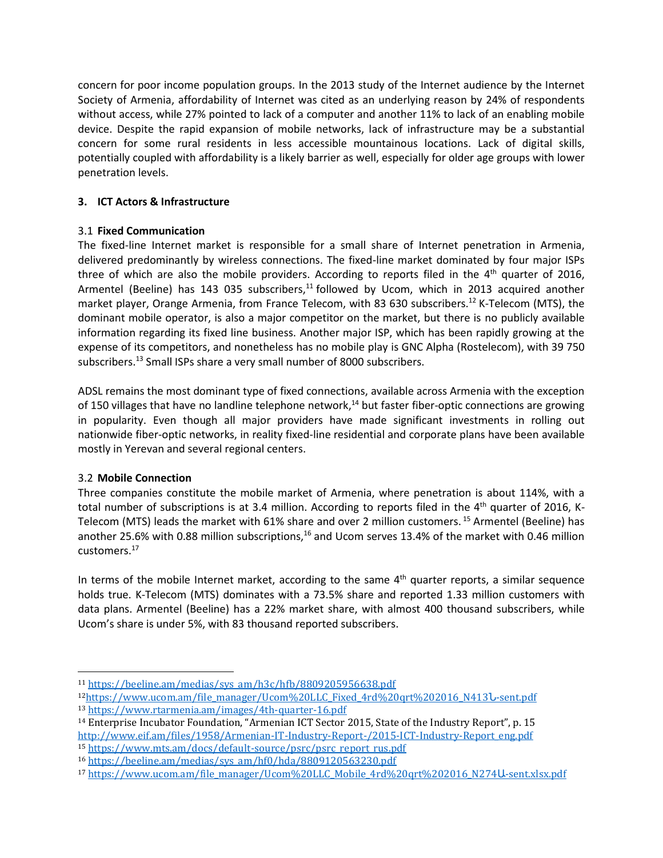concern for poor income population groups. In the 2013 study of the Internet audience by the Internet Society of Armenia, affordability of Internet was cited as an underlying reason by 24% of respondents without access, while 27% pointed to lack of a computer and another 11% to lack of an enabling mobile device. Despite the rapid expansion of mobile networks, lack of infrastructure may be a substantial concern for some rural residents in less accessible mountainous locations. Lack of digital skills, potentially coupled with affordability is a likely barrier as well, especially for older age groups with lower penetration levels.

## **3. ICT Actors & Infrastructure**

## 3.1 **Fixed Communication**

The fixed-line Internet market is responsible for a small share of Internet penetration in Armenia, delivered predominantly by wireless connections. The fixed-line market dominated by four major ISPs three of which are also the mobile providers. According to reports filed in the  $4<sup>th</sup>$  quarter of 2016, Armentel (Beeline) has 143 035 subscribers, $<sup>11</sup>$  followed by Ucom, which in 2013 acquired another</sup> market player, Orange Armenia, from France Telecom, with 83 630 subscribers.<sup>12</sup> K-Telecom (MTS), the dominant mobile operator, is also a major competitor on the market, but there is no publicly available information regarding its fixed line business. Another major ISP, which has been rapidly growing at the expense of its competitors, and nonetheless has no mobile play is GNC Alpha (Rostelecom), with 39 750 subscribers. <sup>13</sup> Small ISPs share a very small number of 8000 subscribers.

ADSL remains the most dominant type of fixed connections, available across Armenia with the exception of 150 villages that have no landline telephone network,<sup>14</sup> but faster fiber-optic connections are growing in popularity. Even though all major providers have made significant investments in rolling out nationwide fiber-optic networks, in reality fixed-line residential and corporate plans have been available mostly in Yerevan and several regional centers.

# 3.2 **Mobile Connection**

 $\overline{a}$ 

Three companies constitute the mobile market of Armenia, where penetration is about 114%, with a total number of subscriptions is at 3.4 million. According to reports filed in the  $4<sup>th</sup>$  quarter of 2016, K-Telecom (MTS) leads the market with 61% share and over 2 million customers. <sup>15</sup> Armentel (Beeline) has another 25.6% with 0.88 million subscriptions,<sup>16</sup> and Ucom serves 13.4% of the market with 0.46 million customers.<sup>17</sup>

In terms of the mobile Internet market, according to the same 4<sup>th</sup> quarter reports, a similar sequence holds true. K-Telecom (MTS) dominates with a 73.5% share and reported 1.33 million customers with data plans. Armentel (Beeline) has a 22% market share, with almost 400 thousand subscribers, while Ucom's share is under 5%, with 83 thousand reported subscribers.

<sup>11</sup> [https://beeline.am/medias/sys\\_am/h3c/hfb/8809205956638.pdf](https://beeline.am/medias/sys_am/h3c/hfb/8809205956638.pdf)

<sup>12</sup>[https://www.ucom.am/file\\_manager/Ucom%20LLC\\_Fixed\\_4rd%20qrt%202016\\_N413](https://www.ucom.am/file_manager/Ucom%20LLC_Fixed_4rd%20qrt%202016_N413Ն-sent.pdf)Ն-sent.pdf <sup>13</sup> <https://www.rtarmenia.am/images/4th-quarter-16.pdf>

<sup>14</sup> Enterprise Incubator Foundation, "Armenian ICT Sector 2015, State of the Industry Report", p. 15 [http://www.eif.am/files/1958/Armenian-IT-Industry-Report-/2015-ICT-Industry-Report\\_eng.pdf](http://www.eif.am/files/1958/Armenian-IT-Industry-Report-/2015-ICT-Industry-Report_eng.pdf) <sup>15</sup> [https://www.mts.am/docs/default-source/psrc/psrc\\_report\\_rus.pdf](https://www.mts.am/docs/default-source/psrc/psrc_report_rus.pdf)

<sup>16</sup> [https://beeline.am/medias/sys\\_am/hf0/hda/8809120563230.pdf](https://beeline.am/medias/sys_am/hf0/hda/8809120563230.pdf)

<sup>17</sup> [https://www.ucom.am/file\\_manager/Ucom%20LLC\\_Mobile\\_4rd%20qrt%202016\\_N274](https://www.ucom.am/file_manager/Ucom%20LLC_Mobile_4rd%20qrt%202016_N274Ա-sent.xlsx.pdf)U-sent.xlsx.pdf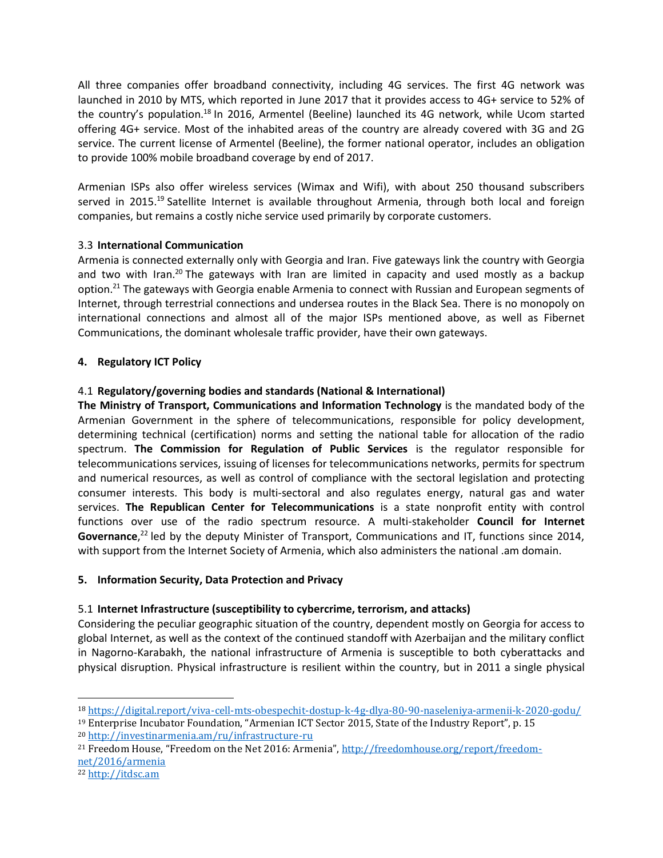All three companies offer broadband connectivity, including 4G services. The first 4G network was launched in 2010 by MTS, which reported in June 2017 that it provides access to 4G+ service to 52% of the country's population.<sup>18</sup> In 2016, Armentel (Beeline) launched its 4G network, while Ucom started offering 4G+ service. Most of the inhabited areas of the country are already covered with 3G and 2G service. The current license of Armentel (Beeline), the former national operator, includes an obligation to provide 100% mobile broadband coverage by end of 2017.

Armenian ISPs also offer wireless services (Wimax and Wifi), with about 250 thousand subscribers served in 2015.<sup>19</sup> Satellite Internet is available throughout Armenia, through both local and foreign companies, but remains a costly niche service used primarily by corporate customers.

# 3.3 **International Communication**

Armenia is connected externally only with Georgia and Iran. Five gateways link the country with Georgia and two with Iran.<sup>20</sup> The gateways with Iran are limited in capacity and used mostly as a backup option.<sup>21</sup> The gateways with Georgia enable Armenia to connect with Russian and European segments of Internet, through terrestrial connections and undersea routes in the Black Sea. There is no monopoly on international connections and almost all of the major ISPs mentioned above, as well as Fibernet Communications, the dominant wholesale traffic provider, have their own gateways.

## **4. Regulatory ICT Policy**

# 4.1 **Regulatory/governing bodies and standards (National & International)**

**The Ministry of Transport, Communications and Information Technology** is the mandated body of the Armenian Government in the sphere of telecommunications, responsible for policy development, determining technical (certification) norms and setting the national table for allocation of the radio spectrum. **The Commission for Regulation of Public Services** is the regulator responsible for telecommunications services, issuing of licenses for telecommunications networks, permits for spectrum and numerical resources, as well as control of compliance with the sectoral legislation and protecting consumer interests. This body is multi-sectoral and also regulates energy, natural gas and water services. **The Republican Center for Telecommunications** is a state nonprofit entity with control functions over use of the radio spectrum resource. A multi-stakeholder **Council for Internet**  Governance,<sup>22</sup> led by the deputy Minister of Transport, Communications and IT, functions since 2014, with support from the Internet Society of Armenia, which also administers the national .am domain.

#### **5. Information Security, Data Protection and Privacy**

#### 5.1 **Internet Infrastructure (susceptibility to cybercrime, terrorism, and attacks)**

Considering the peculiar geographic situation of the country, dependent mostly on Georgia for access to global Internet, as well as the context of the continued standoff with Azerbaijan and the military conflict in Nagorno-Karabakh, the national infrastructure of Armenia is susceptible to both cyberattacks and physical disruption. Physical infrastructure is resilient within the country, but in 2011 a single physical

l

<sup>18</sup> <https://digital.report/viva-cell-mts-obespechit-dostup-k-4g-dlya-80-90-naseleniya-armenii-k-2020-godu/>

<sup>19</sup> Enterprise Incubator Foundation, "Armenian ICT Sector 2015, State of the Industry Report", p. 15 <sup>20</sup> <http://investinarmenia.am/ru/infrastructure-ru>

<sup>21</sup> Freedom House, "Freedom on the Net 2016: Armenia", [http://freedomhouse.org/report/freedom](http://freedomhouse.org/report/freedom-net/2016/armenia)[net/2016/armenia](http://freedomhouse.org/report/freedom-net/2016/armenia) 

<sup>22</sup> [http://itdsc.am](http://itdsc.am/)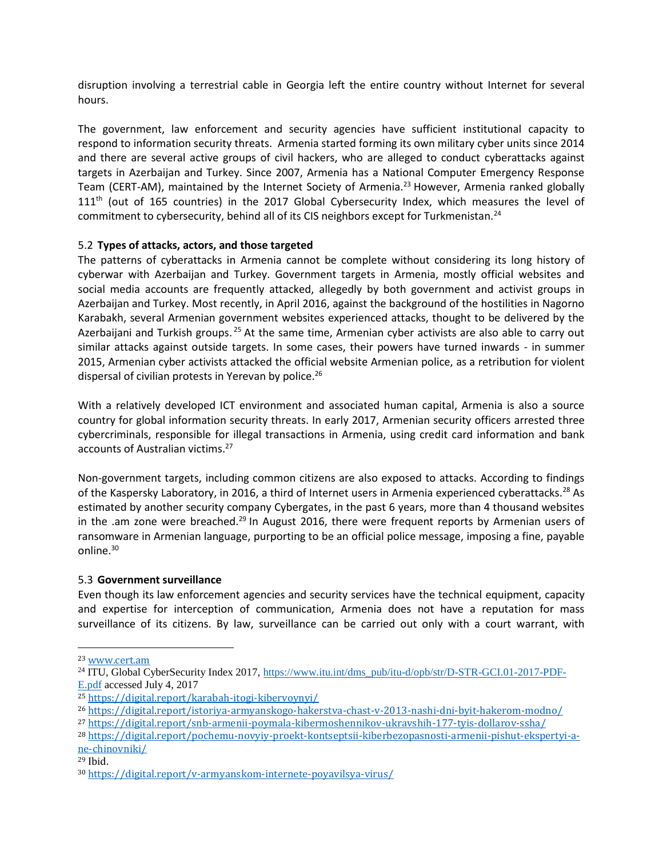disruption involving a terrestrial cable in Georgia left the entire country without Internet for several hours.

The government, law enforcement and security agencies have sufficient institutional capacity to respond to information security threats. Armenia started forming its own military cyber units since 2014 and there are several active groups of civil hackers, who are alleged to conduct cyberattacks against targets in Azerbaijan and Turkey. Since 2007, Armenia has a National Computer Emergency Response Team (CERT-AM), maintained by the Internet Society of Armenia.<sup>23</sup> However, Armenia ranked globally  $111<sup>th</sup>$  (out of 165 countries) in the 2017 Global Cybersecurity Index, which measures the level of commitment to cybersecurity, behind all of its CIS neighbors except for Turkmenistan.<sup>24</sup>

#### 5.2 **Types of attacks, actors, and those targeted**

The patterns of cyberattacks in Armenia cannot be complete without considering its long history of cyberwar with Azerbaijan and Turkey. Government targets in Armenia, mostly official websites and social media accounts are frequently attacked, allegedly by both government and activist groups in Azerbaijan and Turkey. Most recently, in April 2016, against the background of the hostilities in Nagorno Karabakh, several Armenian government websites experienced attacks, thought to be delivered by the Azerbaijani and Turkish groups.<sup>25</sup> At the same time, Armenian cyber activists are also able to carry out similar attacks against outside targets. In some cases, their powers have turned inwards - in summer 2015, Armenian cyber activists attacked the official website Armenian police, as a retribution for violent dispersal of civilian protests in Yerevan by police.<sup>26</sup>

With a relatively developed ICT environment and associated human capital, Armenia is also a source country for global information security threats. In early 2017, Armenian security officers arrested three cybercriminals, responsible for illegal transactions in Armenia, using credit card information and bank accounts of Australian victims.<sup>27</sup>

Non-government targets, including common citizens are also exposed to attacks. According to findings of the Kaspersky Laboratory, in 2016, a third of Internet users in Armenia experienced cyberattacks.<sup>28</sup> As estimated by another security company Cybergates, in the past 6 years, more than 4 thousand websites in the .am zone were breached.<sup>29</sup> In August 2016, there were frequent reports by Armenian users of ransomware in Armenian language, purporting to be an official police message, imposing a fine, payable online.<sup>30</sup>

# 5.3 **Government surveillance**

Even though its law enforcement agencies and security services have the technical equipment, capacity and expertise for interception of communication, Armenia does not have a reputation for mass surveillance of its citizens. By law, surveillance can be carried out only with a court warrant, with

l

<sup>29</sup> Ibid.

<sup>23</sup> [www.cert.am](http://www.cert.am/)

<sup>&</sup>lt;sup>24</sup> ITU, Global CyberSecurity Index 2017, [https://www.itu.int/dms\\_pub/itu-d/opb/str/D-STR-GCI.01-2017-PDF-](https://www.itu.int/dms_pub/itu-d/opb/str/D-STR-GCI.01-2017-PDF-E.pdf)[E.pdf](https://www.itu.int/dms_pub/itu-d/opb/str/D-STR-GCI.01-2017-PDF-E.pdf) accessed July 4, 2017

<sup>25</sup> <https://digital.report/karabah-itogi-kibervoynyi/>

<sup>26</sup> <https://digital.report/istoriya-armyanskogo-hakerstva-chast-v-2013-nashi-dni-byit-hakerom-modno/>

<sup>27</sup> <https://digital.report/snb-armenii-poymala-kibermoshennikov-ukravshih-177-tyis-dollarov-ssha/>

<sup>28</sup> [https://digital.report/pochemu-novyiy-proekt-kontseptsii-kiberbezopasnosti-armenii-pishut-ekspertyi-a](https://digital.report/pochemu-novyiy-proekt-kontseptsii-kiberbezopasnosti-armenii-pishut-ekspertyi-a-ne-chinovniki/)[ne-chinovniki/](https://digital.report/pochemu-novyiy-proekt-kontseptsii-kiberbezopasnosti-armenii-pishut-ekspertyi-a-ne-chinovniki/)

<sup>30</sup> <https://digital.report/v-armyanskom-internete-poyavilsya-virus/>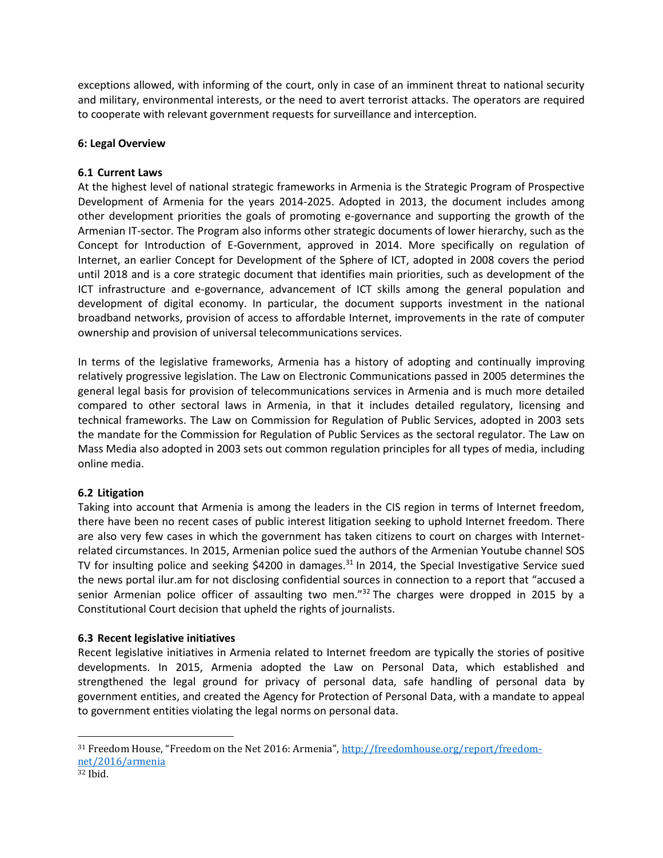exceptions allowed, with informing of the court, only in case of an imminent threat to national security and military, environmental interests, or the need to avert terrorist attacks. The operators are required to cooperate with relevant government requests for surveillance and interception.

#### **6: Legal Overview**

#### **6.1 Current Laws**

At the highest level of national strategic frameworks in Armenia is the Strategic Program of Prospective Development of Armenia for the years 2014-2025. Adopted in 2013, the document includes among other development priorities the goals of promoting e-governance and supporting the growth of the Armenian IT-sector. The Program also informs other strategic documents of lower hierarchy, such as the Concept for Introduction of E-Government, approved in 2014. More specifically on regulation of Internet, an earlier Concept for Development of the Sphere of ICT, adopted in 2008 covers the period until 2018 and is a core strategic document that identifies main priorities, such as development of the ICT infrastructure and e-governance, advancement of ICT skills among the general population and development of digital economy. In particular, the document supports investment in the national broadband networks, provision of access to affordable Internet, improvements in the rate of computer ownership and provision of universal telecommunications services.

In terms of the legislative frameworks, Armenia has a history of adopting and continually improving relatively progressive legislation. The Law on Electronic Communications passed in 2005 determines the general legal basis for provision of telecommunications services in Armenia and is much more detailed compared to other sectoral laws in Armenia, in that it includes detailed regulatory, licensing and technical frameworks. The Law on Commission for Regulation of Public Services, adopted in 2003 sets the mandate for the Commission for Regulation of Public Services as the sectoral regulator. The Law on Mass Media also adopted in 2003 sets out common regulation principles for all types of media, including online media.

#### **6.2 Litigation**

Taking into account that Armenia is among the leaders in the CIS region in terms of Internet freedom, there have been no recent cases of public interest litigation seeking to uphold Internet freedom. There are also very few cases in which the government has taken citizens to court on charges with Internetrelated circumstances. In 2015, Armenian police sued the authors of the Armenian Youtube channel SOS TV for insulting police and seeking \$4200 in damages.<sup>31</sup> In 2014, the Special Investigative Service sued the news portal ilur.am for not disclosing confidential sources in connection to a report that "accused a senior Armenian police officer of assaulting two men."<sup>32</sup> The charges were dropped in 2015 by a Constitutional Court decision that upheld the rights of journalists.

#### **6.3 Recent legislative initiatives**

Recent legislative initiatives in Armenia related to Internet freedom are typically the stories of positive developments. In 2015, Armenia adopted the Law on Personal Data, which established and strengthened the legal ground for privacy of personal data, safe handling of personal data by government entities, and created the Agency for Protection of Personal Data, with a mandate to appeal to government entities violating the legal norms on personal data.

 $\overline{a}$ 

<sup>31</sup> Freedom House, "Freedom on the Net 2016: Armenia", [http://freedomhouse.org/report/freedom](http://freedomhouse.org/report/freedom-net/2016/armenia)[net/2016/armenia](http://freedomhouse.org/report/freedom-net/2016/armenia) 

<sup>32</sup> Ibid.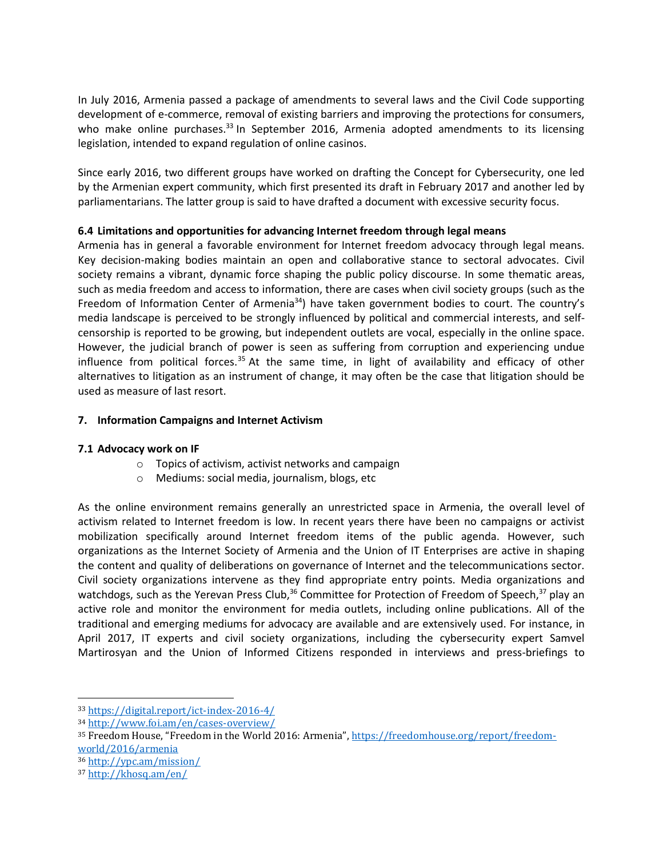In July 2016, Armenia passed a package of amendments to several laws and the Civil Code supporting development of e-commerce, removal of existing barriers and improving the protections for consumers, who make online purchases.<sup>33</sup> In September 2016, Armenia adopted amendments to its licensing legislation, intended to expand regulation of online casinos.

Since early 2016, two different groups have worked on drafting the Concept for Cybersecurity, one led by the Armenian expert community, which first presented its draft in February 2017 and another led by parliamentarians. The latter group is said to have drafted a document with excessive security focus.

## **6.4 Limitations and opportunities for advancing Internet freedom through legal means**

Armenia has in general a favorable environment for Internet freedom advocacy through legal means. Key decision-making bodies maintain an open and collaborative stance to sectoral advocates. Civil society remains a vibrant, dynamic force shaping the public policy discourse. In some thematic areas, such as media freedom and access to information, there are cases when civil society groups (such as the Freedom of Information Center of Armenia<sup>34</sup>) have taken government bodies to court. The country's media landscape is perceived to be strongly influenced by political and commercial interests, and selfcensorship is reported to be growing, but independent outlets are vocal, especially in the online space. However, the judicial branch of power is seen as suffering from corruption and experiencing undue influence from political forces. $35$  At the same time, in light of availability and efficacy of other alternatives to litigation as an instrument of change, it may often be the case that litigation should be used as measure of last resort.

## **7. Information Campaigns and Internet Activism**

#### **7.1 Advocacy work on IF**

- o Topics of activism, activist networks and campaign
- o Mediums: social media, journalism, blogs, etc

As the online environment remains generally an unrestricted space in Armenia, the overall level of activism related to Internet freedom is low. In recent years there have been no campaigns or activist mobilization specifically around Internet freedom items of the public agenda. However, such organizations as the Internet Society of Armenia and the Union of IT Enterprises are active in shaping the content and quality of deliberations on governance of Internet and the telecommunications sector. Civil society organizations intervene as they find appropriate entry points. Media organizations and watchdogs, such as the Yerevan Press Club,<sup>36</sup> Committee for Protection of Freedom of Speech,<sup>37</sup> play an active role and monitor the environment for media outlets, including online publications. All of the traditional and emerging mediums for advocacy are available and are extensively used. For instance, in April 2017, IT experts and civil society organizations, including the cybersecurity expert Samvel Martirosyan and the Union of Informed Citizens responded in interviews and press-briefings to

l

<sup>33</sup> <https://digital.report/ict-index-2016-4/>

<sup>34</sup> <http://www.foi.am/en/cases-overview/>

<sup>35</sup> Freedom House, "Freedom in the World 2016: Armenia", [https://freedomhouse.org/report/freedom](https://freedomhouse.org/report/freedom-world/2016/armenia)[world/2016/armenia](https://freedomhouse.org/report/freedom-world/2016/armenia)

<sup>36</sup> <http://ypc.am/mission/>

<sup>37</sup> <http://khosq.am/en/>